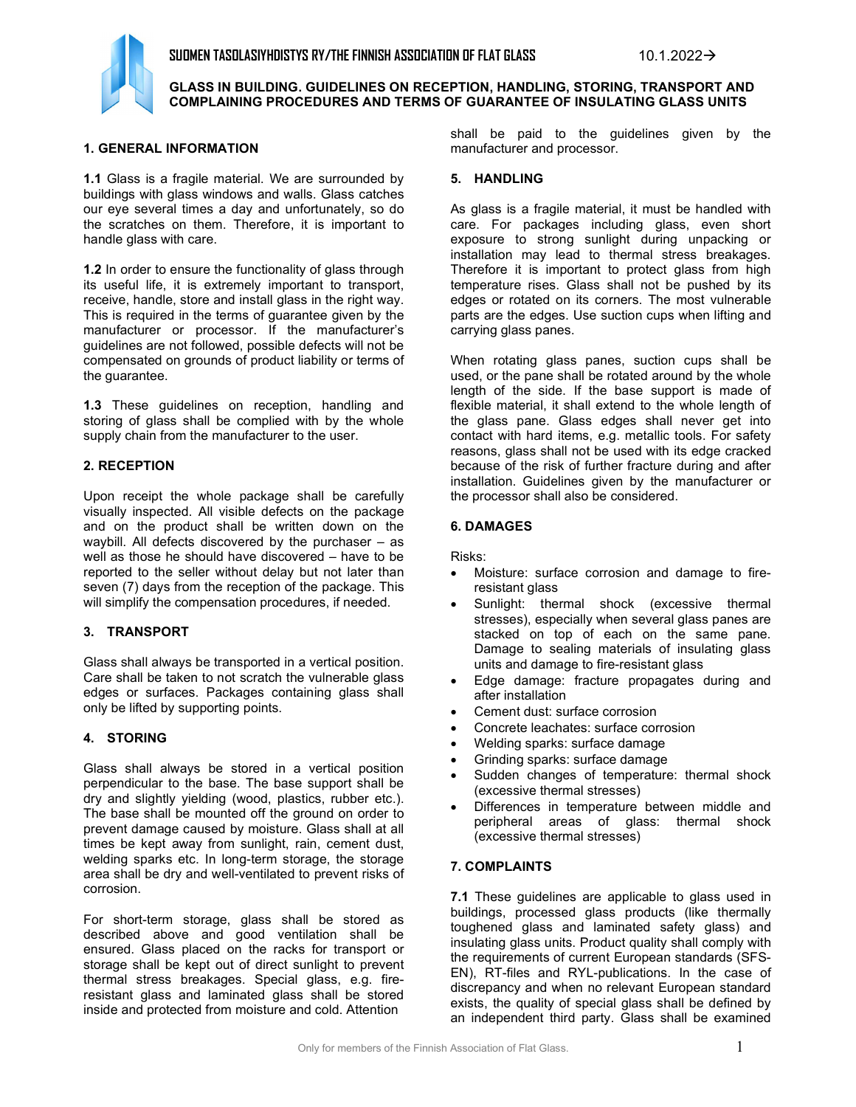

# GLASS IN BUILDING. GUIDELINES ON RECEPTION, HANDLING, STORING, TRANSPORT AND COMPLAINING PROCEDURES AND TERMS OF GUARANTEE OF INSULATING GLASS UNITS

### 1. GENERAL INFORMATION

1.1 Glass is a fragile material. We are surrounded by buildings with glass windows and walls. Glass catches our eye several times a day and unfortunately, so do the scratches on them. Therefore, it is important to handle glass with care.

1.2 In order to ensure the functionality of glass through its useful life, it is extremely important to transport, receive, handle, store and install glass in the right way. This is required in the terms of guarantee given by the manufacturer or processor. If the manufacturer's guidelines are not followed, possible defects will not be compensated on grounds of product liability or terms of the guarantee.

1.3 These guidelines on reception, handling and storing of glass shall be complied with by the whole supply chain from the manufacturer to the user.

### 2. RECEPTION

Upon receipt the whole package shall be carefully visually inspected. All visible defects on the package and on the product shall be written down on the waybill. All defects discovered by the purchaser  $-$  as well as those he should have discovered – have to be reported to the seller without delay but not later than seven (7) days from the reception of the package. This will simplify the compensation procedures, if needed.

#### 3. TRANSPORT

Glass shall always be transported in a vertical position. Care shall be taken to not scratch the vulnerable glass  $\bullet$ edges or surfaces. Packages containing glass shall only be lifted by supporting points.

# 4. STORING

Glass shall always be stored in a vertical position perpendicular to the base. The base support shall be dry and slightly yielding (wood, plastics, rubber etc.). The base shall be mounted off the ground on order to prevent damage caused by moisture. Glass shall at all times be kept away from sunlight, rain, cement dust, welding sparks etc. In long-term storage, the storage area shall be dry and well-ventilated to prevent risks of corrosion.

For short-term storage, glass shall be stored as described above and good ventilation shall be ensured. Glass placed on the racks for transport or storage shall be kept out of direct sunlight to prevent thermal stress breakages. Special glass, e.g. fireresistant glass and laminated glass shall be stored inside and protected from moisture and cold. Attention

shall be paid to the guidelines given by the manufacturer and processor.

#### 5. HANDLING

As glass is a fragile material, it must be handled with care. For packages including glass, even short exposure to strong sunlight during unpacking or installation may lead to thermal stress breakages. Therefore it is important to protect glass from high temperature rises. Glass shall not be pushed by its edges or rotated on its corners. The most vulnerable parts are the edges. Use suction cups when lifting and carrying glass panes.

When rotating glass panes, suction cups shall be used, or the pane shall be rotated around by the whole length of the side. If the base support is made of flexible material, it shall extend to the whole length of the glass pane. Glass edges shall never get into contact with hard items, e.g. metallic tools. For safety reasons, glass shall not be used with its edge cracked because of the risk of further fracture during and after installation. Guidelines given by the manufacturer or the processor shall also be considered.

# 6. DAMAGES

Risks:

- Moisture: surface corrosion and damage to fireresistant glass
- Sunlight: thermal shock (excessive thermal stresses), especially when several glass panes are stacked on top of each on the same pane. Damage to sealing materials of insulating glass units and damage to fire-resistant glass
- Edge damage: fracture propagates during and after installation
- Cement dust: surface corrosion
- Concrete leachates: surface corrosion
- Welding sparks: surface damage
- Grinding sparks: surface damage
- Sudden changes of temperature: thermal shock (excessive thermal stresses)
- Differences in temperature between middle and peripheral areas of glass: thermal shock (excessive thermal stresses)

#### 7. COMPLAINTS

7.1 These guidelines are applicable to glass used in buildings, processed glass products (like thermally toughened glass and laminated safety glass) and insulating glass units. Product quality shall comply with the requirements of current European standards (SFS-EN), RT-files and RYL-publications. In the case of discrepancy and when no relevant European standard exists, the quality of special glass shall be defined by an independent third party. Glass shall be examined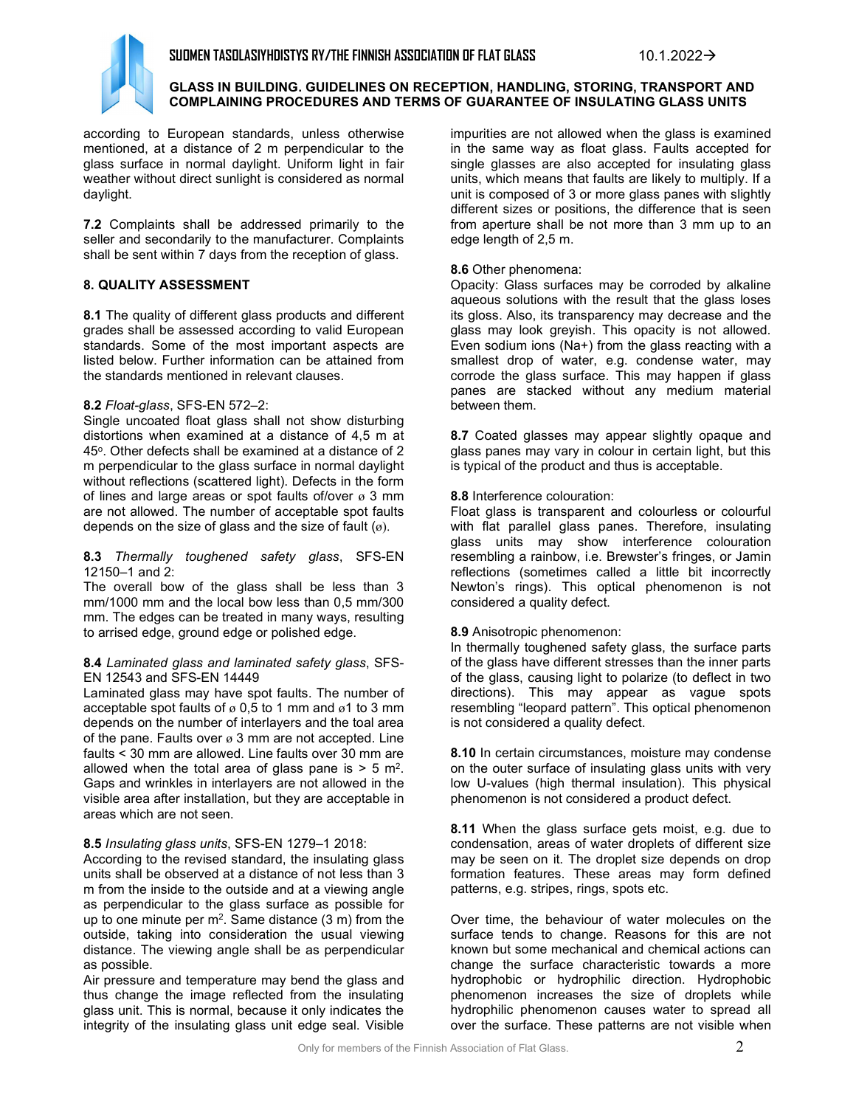## SUOMEN TASOLASIYHDISTYS RY/THE FINNISH ASSOCIATION OF FLAT GLASS  $10.1.2022 \rightarrow$



# GLASS IN BUILDING. GUIDELINES ON RECEPTION, HANDLING, STORING, TRANSPORT AND COMPLAINING PROCEDURES AND TERMS OF GUARANTEE OF INSULATING GLASS UNITS

according to European standards, unless otherwise mentioned, at a distance of 2 m perpendicular to the glass surface in normal daylight. Uniform light in fair weather without direct sunlight is considered as normal daylight.

7.2 Complaints shall be addressed primarily to the seller and secondarily to the manufacturer. Complaints shall be sent within 7 days from the reception of glass.

### 8. QUALITY ASSESSMENT

8.1 The quality of different glass products and different grades shall be assessed according to valid European standards. Some of the most important aspects are listed below. Further information can be attained from the standards mentioned in relevant clauses.

#### 8.2 Float-glass, SFS-EN 572–2:

Single uncoated float glass shall not show disturbing distortions when examined at a distance of 4,5 m at 45°. Other defects shall be examined at a distance of 2 statust glass panes no m perpendicular to the glass surface in normal daylight without reflections (scattered light). Defects in the form of lines and large areas or spot faults of/over  $\varnothing$  3 mm are not allowed. The number of acceptable spot faults depends on the size of glass and the size of fault  $(\varnothing)$ .

#### 8.3 Thermally toughened safety glass, SFS-EN 12150–1 and 2:

The overall bow of the glass shall be less than 3 mm/1000 mm and the local bow less than 0,5 mm/300 mm. The edges can be treated in many ways, resulting to arrised edge, ground edge or polished edge.

#### 8.4 Laminated glass and laminated safety glass, SFS-EN 12543 and SFS-EN 14449

Laminated glass may have spot faults. The number of acceptable spot faults of  $\alpha$  0,5 to 1 mm and  $\alpha$ 1 to 3 mm depends on the number of interlayers and the toal area of the pane. Faults over  $\varnothing$  3 mm are not accepted. Line faults < 30 mm are allowed. Line faults over 30 mm are allowed when the total area of glass pane is  $> 5$  m<sup>2</sup>. . Gaps and wrinkles in interlayers are not allowed in the visible area after installation, but they are acceptable in areas which are not seen.

#### 8.5 Insulating glass units, SFS-EN 1279–1 2018:

According to the revised standard, the insulating glass units shall be observed at a distance of not less than 3 m from the inside to the outside and at a viewing angle as perpendicular to the glass surface as possible for up to one minute per  $m^2$ . Same distance (3 m) from the  $\hspace{1cm}$  Over time, th outside, taking into consideration the usual viewing distance. The viewing angle shall be as perpendicular as possible.

Air pressure and temperature may bend the glass and thus change the image reflected from the insulating glass unit. This is normal, because it only indicates the integrity of the insulating glass unit edge seal. Visible

impurities are not allowed when the glass is examined in the same way as float glass. Faults accepted for single glasses are also accepted for insulating glass units, which means that faults are likely to multiply. If a unit is composed of 3 or more glass panes with slightly different sizes or positions, the difference that is seen from aperture shall be not more than 3 mm up to an edge length of 2,5 m.

#### 8.6 Other phenomena:

Opacity: Glass surfaces may be corroded by alkaline aqueous solutions with the result that the glass loses its gloss. Also, its transparency may decrease and the glass may look greyish. This opacity is not allowed. Even sodium ions (Na+) from the glass reacting with a smallest drop of water, e.g. condense water, may corrode the glass surface. This may happen if glass panes are stacked without any medium material between them.

8.7 Coated glasses may appear slightly opaque and glass panes may vary in colour in certain light, but this is typical of the product and thus is acceptable.

#### 8.8 Interference colouration:

Float glass is transparent and colourless or colourful with flat parallel glass panes. Therefore, insulating glass units may show interference colouration resembling a rainbow, i.e. Brewster's fringes, or Jamin reflections (sometimes called a little bit incorrectly Newton's rings). This optical phenomenon is not considered a quality defect.

#### 8.9 Anisotropic phenomenon:

In thermally toughened safety glass, the surface parts of the glass have different stresses than the inner parts of the glass, causing light to polarize (to deflect in two directions). This may appear as vague spots resembling "leopard pattern". This optical phenomenon is not considered a quality defect.

8.10 In certain circumstances, moisture may condense on the outer surface of insulating glass units with very low U-values (high thermal insulation). This physical phenomenon is not considered a product defect.

8.11 When the glass surface gets moist, e.g. due to condensation, areas of water droplets of different size may be seen on it. The droplet size depends on drop formation features. These areas may form defined patterns, e.g. stripes, rings, spots etc.

Over time, the behaviour of water molecules on the surface tends to change. Reasons for this are not known but some mechanical and chemical actions can change the surface characteristic towards a more hydrophobic or hydrophilic direction. Hydrophobic phenomenon increases the size of droplets while hydrophilic phenomenon causes water to spread all over the surface. These patterns are not visible when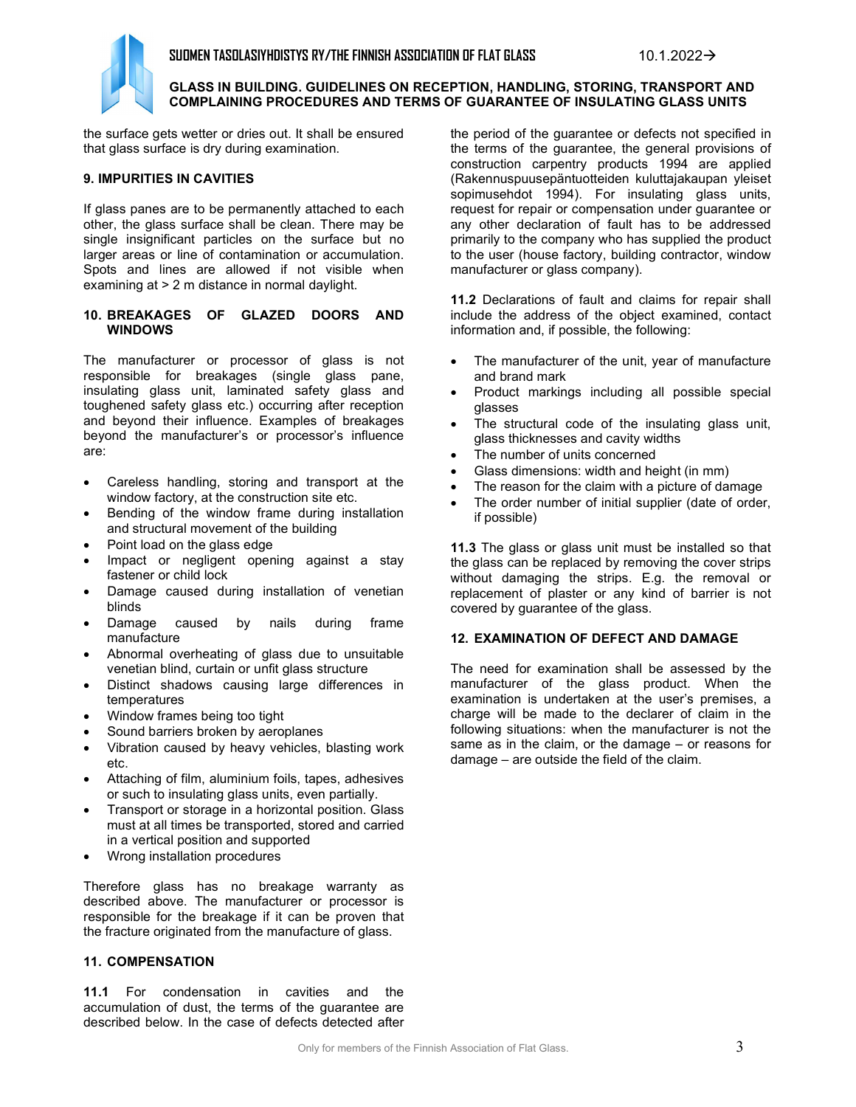

# GLASS IN BUILDING. GUIDELINES ON RECEPTION, HANDLING, STORING, TRANSPORT AND COMPLAINING PROCEDURES AND TERMS OF GUARANTEE OF INSULATING GLASS UNITS

the surface gets wetter or dries out. It shall be ensured that glass surface is dry during examination.

## 9. IMPURITIES IN CAVITIES

If glass panes are to be permanently attached to each other, the glass surface shall be clean. There may be single insignificant particles on the surface but no larger areas or line of contamination or accumulation. Spots and lines are allowed if not visible when examining at > 2 m distance in normal daylight.

### 10. BREAKAGES OF GLAZED DOORS AND WINDOWS

The manufacturer or processor of glass is not . responsible for breakages (single glass pane, insulating glass unit, laminated safety glass and . toughened safety glass etc.) occurring after reception and beyond their influence. Examples of breakages  $\bullet$ beyond the manufacturer's or processor's influence are:

- Careless handling, storing and transport at the window factory, at the construction site etc.
- Bending of the window frame during installation and structural movement of the building
- Point load on the glass edge
- Impact or negligent opening against a stay fastener or child lock
- Damage caused during installation of venetian blinds
- Damage caused by nails during frame manufacture
- Abnormal overheating of glass due to unsuitable venetian blind, curtain or unfit glass structure
- Distinct shadows causing large differences in temperatures
- Window frames being too tight
- Sound barriers broken by aeroplanes
- Vibration caused by heavy vehicles, blasting work etc.
- Attaching of film, aluminium foils, tapes, adhesives or such to insulating glass units, even partially.
- Transport or storage in a horizontal position. Glass must at all times be transported, stored and carried in a vertical position and supported
- Wrong installation procedures

Therefore glass has no breakage warranty as described above. The manufacturer or processor is responsible for the breakage if it can be proven that the fracture originated from the manufacture of glass.

# 11. COMPENSATION

11.1 For condensation in cavities and the accumulation of dust, the terms of the guarantee are described below. In the case of defects detected after the period of the guarantee or defects not specified in the terms of the guarantee, the general provisions of construction carpentry products 1994 are applied (Rakennuspuusepäntuotteiden kuluttajakaupan yleiset sopimusehdot 1994). For insulating glass units, request for repair or compensation under guarantee or any other declaration of fault has to be addressed primarily to the company who has supplied the product to the user (house factory, building contractor, window manufacturer or glass company).

11.2 Declarations of fault and claims for repair shall include the address of the object examined, contact information and, if possible, the following:

- The manufacturer of the unit, year of manufacture and brand mark
- Product markings including all possible special glasses
- The structural code of the insulating glass unit, glass thicknesses and cavity widths
- The number of units concerned
- Glass dimensions: width and height (in mm)
- The reason for the claim with a picture of damage
- The order number of initial supplier (date of order, if possible)

11.3 The glass or glass unit must be installed so that the glass can be replaced by removing the cover strips without damaging the strips. E.g. the removal or replacement of plaster or any kind of barrier is not covered by guarantee of the glass.

# 12. EXAMINATION OF DEFECT AND DAMAGE

The need for examination shall be assessed by the manufacturer of the glass product. When the examination is undertaken at the user's premises, a charge will be made to the declarer of claim in the following situations: when the manufacturer is not the same as in the claim, or the damage – or reasons for damage – are outside the field of the claim.